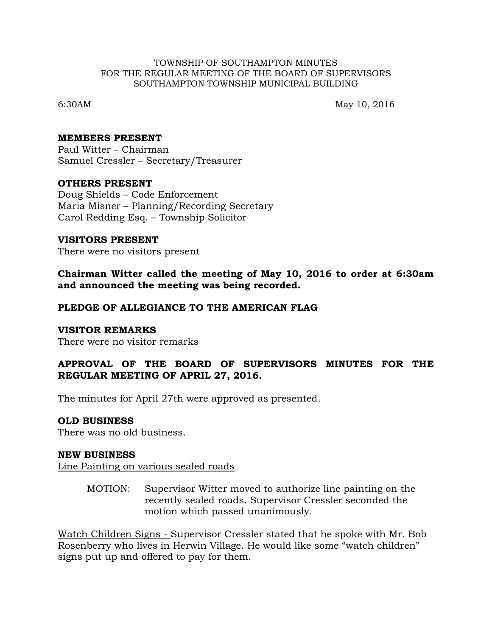#### TOWNSHIP OF SOUTHAMPTON MINUTES FOR THE REGULAR MEETING OF THE BOARD OF SUPERVISORS SOUTHAMPTON TOWNSHIP MUNICIPAL BUILDING

6:30AM May 10, 2016

#### **MEMBERS PRESENT**

Paul Witter – Chairman Samuel Cressler – Secretary/Treasurer

### **OTHERS PRESENT**

Doug Shields – Code Enforcement Maria Misner – Planning/Recording Secretary Carol Redding Esq. – Township Solicitor

### **VISITORS PRESENT**

There were no visitors present

**Chairman Witter called the meeting of May 10, 2016 to order at 6:30am and announced the meeting was being recorded.**

### **PLEDGE OF ALLEGIANCE TO THE AMERICAN FLAG**

### **VISITOR REMARKS**

There were no visitor remarks

## **APPROVAL OF THE BOARD OF SUPERVISORS MINUTES FOR THE REGULAR MEETING OF APRIL 27, 2016.**

The minutes for April 27th were approved as presented.

### **OLD BUSINESS**

There was no old business.

### **NEW BUSINESS**

Line Painting on various sealed roads

MOTION: Supervisor Witter moved to authorize line painting on the recently sealed roads. Supervisor Cressler seconded the motion which passed unanimously.

Watch Children Signs - Supervisor Cressler stated that he spoke with Mr. Bob Rosenberry who lives in Herwin Village. He would like some "watch children" signs put up and offered to pay for them.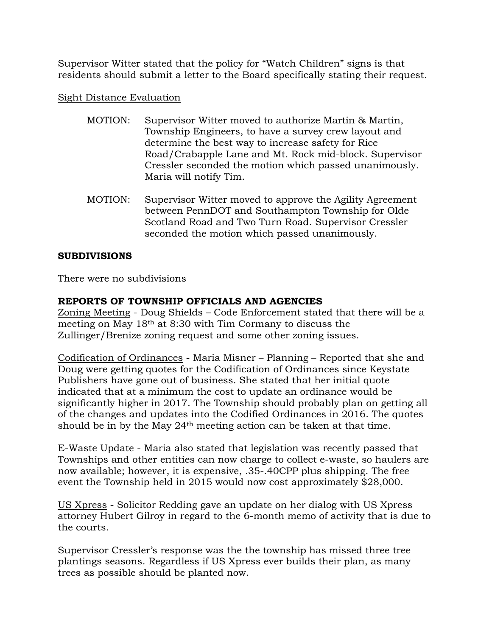Supervisor Witter stated that the policy for "Watch Children" signs is that residents should submit a letter to the Board specifically stating their request.

## Sight Distance Evaluation

- MOTION: Supervisor Witter moved to authorize Martin & Martin, Township Engineers, to have a survey crew layout and determine the best way to increase safety for Rice Road/Crabapple Lane and Mt. Rock mid-block. Supervisor Cressler seconded the motion which passed unanimously. Maria will notify Tim.
- MOTION: Supervisor Witter moved to approve the Agility Agreement between PennDOT and Southampton Township for Olde Scotland Road and Two Turn Road. Supervisor Cressler seconded the motion which passed unanimously.

# **SUBDIVISIONS**

There were no subdivisions

# **REPORTS OF TOWNSHIP OFFICIALS AND AGENCIES**

Zoning Meeting - Doug Shields – Code Enforcement stated that there will be a meeting on May 18th at 8:30 with Tim Cormany to discuss the Zullinger/Brenize zoning request and some other zoning issues.

Codification of Ordinances - Maria Misner – Planning – Reported that she and Doug were getting quotes for the Codification of Ordinances since Keystate Publishers have gone out of business. She stated that her initial quote indicated that at a minimum the cost to update an ordinance would be significantly higher in 2017. The Township should probably plan on getting all of the changes and updates into the Codified Ordinances in 2016. The quotes should be in by the May 24th meeting action can be taken at that time.

E-Waste Update - Maria also stated that legislation was recently passed that Townships and other entities can now charge to collect e-waste, so haulers are now available; however, it is expensive, .35-.40CPP plus shipping. The free event the Township held in 2015 would now cost approximately \$28,000.

US Xpress - Solicitor Redding gave an update on her dialog with US Xpress attorney Hubert Gilroy in regard to the 6-month memo of activity that is due to the courts.

Supervisor Cressler's response was the the township has missed three tree plantings seasons. Regardless if US Xpress ever builds their plan, as many trees as possible should be planted now.